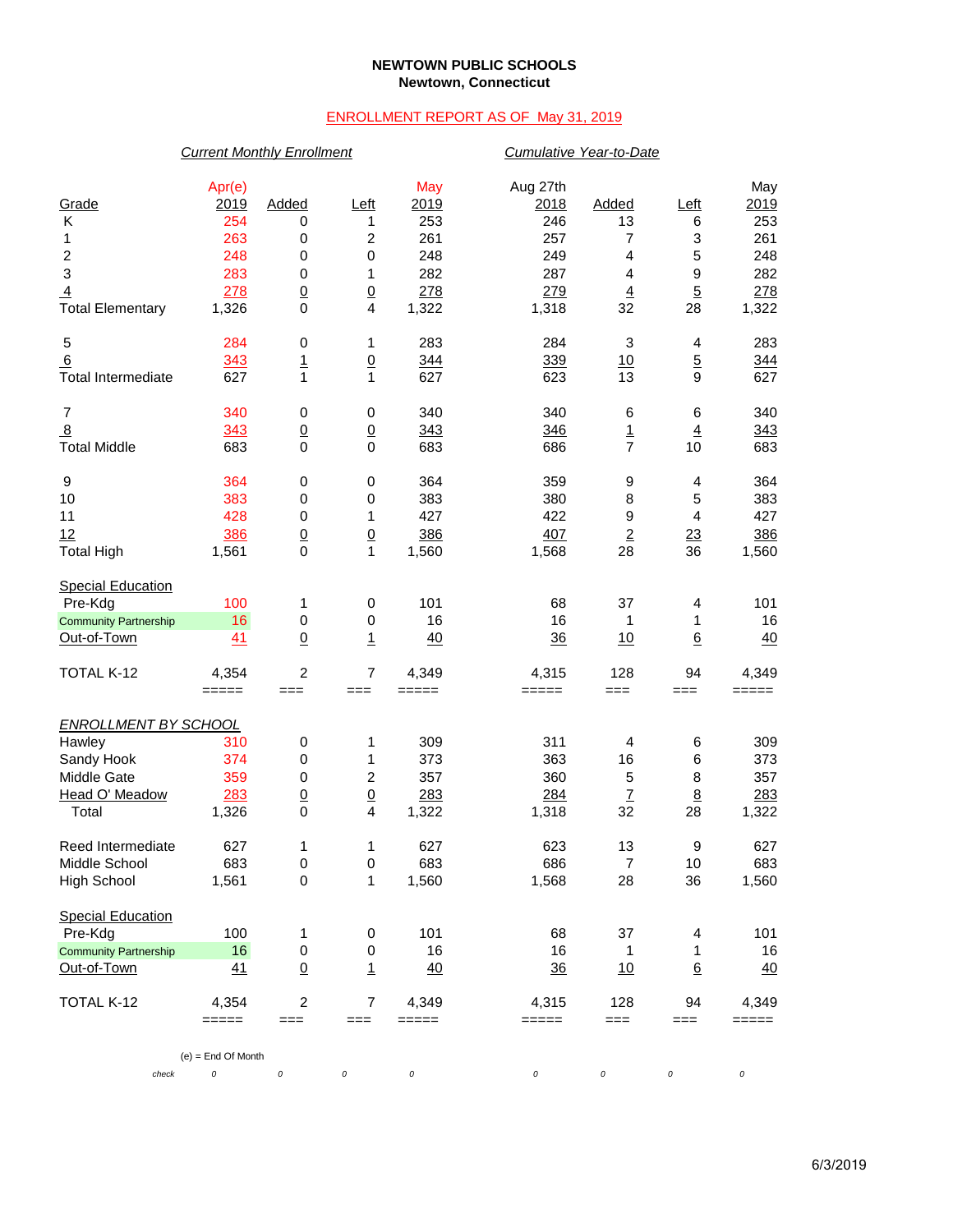### **NEWTOWN PUBLIC SCHOOLS Newtown, Connecticut**

## ENROLLMENT REPORT AS OF May 31, 2019

# *Current Monthly Enrollment Cumulative Year-to-Date*

| Grade<br>Κ<br>1<br>$\boldsymbol{2}$<br>$\ensuremath{\mathsf{3}}$<br>$\overline{4}$<br><b>Total Elementary</b> | Apr(e)<br>2019<br>254<br>263<br>248<br>283<br>278<br>1,326 | Added<br>0<br>0<br>$\pmb{0}$<br>$\pmb{0}$<br>$\underline{0}$<br>0 | <u>Left</u><br>1<br>$\boldsymbol{2}$<br>$\pmb{0}$<br>1<br>$\overline{0}$<br>4 | May<br>2019<br>253<br>261<br>248<br>282<br>278<br>1,322 | Aug 27th<br>2018<br>246<br>257<br>249<br>287<br>279<br>1,318 | Added<br>13<br>7<br>$\overline{\mathbf{4}}$<br>4<br>$\overline{4}$<br>32 | Left<br>6<br>3<br>5<br>$\boldsymbol{9}$<br>$\overline{5}$<br>28 | May<br>2019<br>253<br>261<br>248<br>282<br>278<br>1,322 |
|---------------------------------------------------------------------------------------------------------------|------------------------------------------------------------|-------------------------------------------------------------------|-------------------------------------------------------------------------------|---------------------------------------------------------|--------------------------------------------------------------|--------------------------------------------------------------------------|-----------------------------------------------------------------|---------------------------------------------------------|
| 5<br>6<br><b>Total Intermediate</b>                                                                           | 284<br>343<br>627                                          | 0<br>$\overline{1}$<br>$\mathbf{1}$                               | 1<br>$\overline{0}$<br>$\mathbf{1}$                                           | 283<br>344<br>627                                       | 284<br>339<br>623                                            | 3<br>10<br>13                                                            | 4<br>$\overline{5}$<br>$\mathsf g$                              | 283<br>344<br>627                                       |
| $\overline{7}$<br>8<br><b>Total Middle</b>                                                                    | 340<br>343<br>683                                          | 0<br>$\underline{0}$<br>$\mathbf 0$                               | 0<br>$\overline{0}$<br>$\mathbf 0$                                            | 340<br>343<br>683                                       | 340<br>346<br>686                                            | 6<br>1<br>$\overline{7}$                                                 | 6<br>$\overline{4}$<br>10                                       | 340<br>343<br>683                                       |
| 9<br>10<br>11<br>12<br><b>Total High</b>                                                                      | 364<br>383<br>428<br>386<br>1,561                          | 0<br>0<br>$\pmb{0}$<br>$\underline{0}$<br>$\mathbf 0$             | 0<br>0<br>1<br>$\overline{0}$<br>$\mathbf{1}$                                 | 364<br>383<br>427<br>386<br>1,560                       | 359<br>380<br>422<br>407<br>1,568                            | 9<br>8<br>9<br>$\overline{2}$<br>28                                      | 4<br>5<br>4<br>23<br>36                                         | 364<br>383<br>427<br>386<br>1,560                       |
| <b>Special Education</b><br>Pre-Kdg<br><b>Community Partnership</b><br>Out-of-Town                            | 100<br>16<br>41                                            | 1<br>$\pmb{0}$<br>$\underline{0}$                                 | 0<br>$\pmb{0}$<br>$\mathbf{1}$                                                | 101<br>16<br>40                                         | 68<br>16<br>36                                               | 37<br>1<br><u>10</u>                                                     | 4<br>1<br>6                                                     | 101<br>16<br>40                                         |
| TOTAL K-12                                                                                                    | 4,354<br>$=====$                                           | 2<br>$==$                                                         | $\overline{7}$<br>$==$                                                        | 4,349<br>$=====$                                        | 4,315<br>=====                                               | 128<br>$==$                                                              | 94<br>$==$                                                      | 4,349<br>=====                                          |
| <b>ENROLLMENT BY SCHOOL</b><br>Hawley<br>Sandy Hook<br>Middle Gate<br>Head O' Meadow<br>Total                 | 310<br>374<br>359<br>283<br>1,326                          | 0<br>$\pmb{0}$<br>$\pmb{0}$<br>$\underline{0}$<br>$\mathbf 0$     | 1<br>1<br>$\boldsymbol{2}$<br>$\underline{0}$<br>4                            | 309<br>373<br>357<br>283<br>1,322                       | 311<br>363<br>360<br>284<br>1,318                            | 4<br>16<br>5<br>$\ensuremath{\mathsf{Z}}$<br>32                          | 6<br>6<br>8<br>$8\phantom{1}$<br>28                             | 309<br>373<br>357<br>283<br>1,322                       |
| Reed Intermediate<br>Middle School<br><b>High School</b>                                                      | 627<br>683<br>1,561                                        | 1<br>$\mathbf 0$<br>$\pmb{0}$                                     | 1<br>$\mathbf 0$<br>1                                                         | 627<br>683<br>1,560                                     | 623<br>686<br>1,568                                          | 13<br>$\overline{7}$<br>28                                               | 9<br>10<br>36                                                   | 627<br>683<br>1,560                                     |
| <b>Special Education</b><br>Pre-Kdg<br><b>Community Partnership</b><br>Out-of-Town                            | 100<br>16<br>41                                            | 1<br>0<br>$\underline{0}$                                         | 0<br>$\pmb{0}$<br>$\overline{1}$                                              | 101<br>16<br>40                                         | 68<br>16<br>$\frac{36}{5}$                                   | 37<br>1<br>10                                                            | 4<br>1<br>$6\phantom{1}$                                        | 101<br>16<br>40                                         |
| TOTAL K-12                                                                                                    | 4,354<br>$=====$<br>$(e)$ = End Of Month                   | $\boldsymbol{2}$<br>$==$                                          | $\overline{7}$<br>===                                                         | 4,349<br>$=====$                                        | 4,315<br>=====                                               | 128<br>$==$                                                              | 94<br>===                                                       | 4,349<br>=====                                          |
| check                                                                                                         | 0                                                          | $\cal O$                                                          | 0                                                                             | $\it{O}$                                                | 0                                                            | $\it{O}$                                                                 | 0                                                               | 0                                                       |